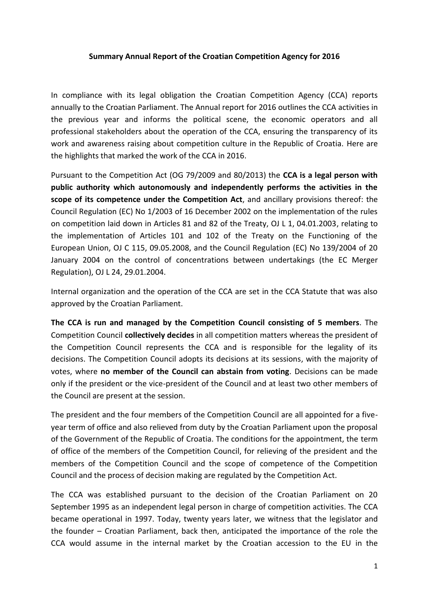## **Summary Annual Report of the Croatian Competition Agency for 2016**

In compliance with its legal obligation the Croatian Competition Agency (CCA) reports annually to the Croatian Parliament. The Annual report for 2016 outlines the CCA activities in the previous year and informs the political scene, the economic operators and all professional stakeholders about the operation of the CCA, ensuring the transparency of its work and awareness raising about competition culture in the Republic of Croatia. Here are the highlights that marked the work of the CCA in 2016.

Pursuant to the Competition Act (OG 79/2009 and 80/2013) the **CCA is a legal person with public authority which autonomously and independently performs the activities in the scope of its competence under the Competition Act**, and ancillary provisions thereof: the Council Regulation (EC) No 1/2003 of 16 December 2002 on the implementation of the rules on competition laid down in Articles 81 and 82 of the Treaty, OJ L 1, 04.01.2003, relating to the implementation of Articles 101 and 102 of the Treaty on the Functioning of the European Union, OJ C 115, 09.05.2008, and the Council Regulation (EC) No 139/2004 of 20 January 2004 on the control of concentrations between undertakings (the EC Merger Regulation), OJ L 24, 29.01.2004.

Internal organization and the operation of the CCA are set in the CCA Statute that was also approved by the Croatian Parliament.

**The CCA is run and managed by the Competition Council consisting of 5 members**. The Competition Council **collectively decides** in all competition matters whereas the president of the Competition Council represents the CCA and is responsible for the legality of its decisions. The Competition Council adopts its decisions at its sessions, with the majority of votes, where **no member of the Council can abstain from voting**. Decisions can be made only if the president or the vice-president of the Council and at least two other members of the Council are present at the session.

The president and the four members of the Competition Council are all appointed for a fiveyear term of office and also relieved from duty by the Croatian Parliament upon the proposal of the Government of the Republic of Croatia. The conditions for the appointment, the term of office of the members of the Competition Council, for relieving of the president and the members of the Competition Council and the scope of competence of the Competition Council and the process of decision making are regulated by the Competition Act.

The CCA was established pursuant to the decision of the Croatian Parliament on 20 September 1995 as an independent legal person in charge of competition activities. The CCA became operational in 1997. Today, twenty years later, we witness that the legislator and the founder – Croatian Parliament, back then, anticipated the importance of the role the CCA would assume in the internal market by the Croatian accession to the EU in the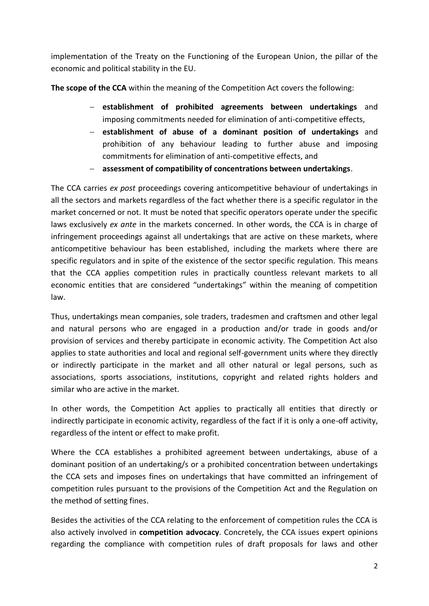implementation of the Treaty on the Functioning of the European Union, the pillar of the economic and political stability in the EU.

**The scope of the CCA** within the meaning of the Competition Act covers the following:

- **establishment of prohibited agreements between undertakings** and imposing commitments needed for elimination of anti-competitive effects,
- **establishment of abuse of a dominant position of undertakings** and prohibition of any behaviour leading to further abuse and imposing commitments for elimination of anti-competitive effects, and
- **assessment of compatibility of concentrations between undertakings**.

The CCA carries *ex post* proceedings covering anticompetitive behaviour of undertakings in all the sectors and markets regardless of the fact whether there is a specific regulator in the market concerned or not. It must be noted that specific operators operate under the specific laws exclusively *ex ante* in the markets concerned. In other words, the CCA is in charge of infringement proceedings against all undertakings that are active on these markets, where anticompetitive behaviour has been established, including the markets where there are specific regulators and in spite of the existence of the sector specific regulation. This means that the CCA applies competition rules in practically countless relevant markets to all economic entities that are considered "undertakings" within the meaning of competition law.

Thus, undertakings mean companies, sole traders, tradesmen and craftsmen and other legal and natural persons who are engaged in a production and/or trade in goods and/or provision of services and thereby participate in economic activity. The Competition Act also applies to state authorities and local and regional self-government units where they directly or indirectly participate in the market and all other natural or legal persons, such as associations, sports associations, institutions, copyright and related rights holders and similar who are active in the market.

In other words, the Competition Act applies to practically all entities that directly or indirectly participate in economic activity, regardless of the fact if it is only a one-off activity, regardless of the intent or effect to make profit.

Where the CCA establishes a prohibited agreement between undertakings, abuse of a dominant position of an undertaking/s or a prohibited concentration between undertakings the CCA sets and imposes fines on undertakings that have committed an infringement of competition rules pursuant to the provisions of the Competition Act and the Regulation on the method of setting fines.

Besides the activities of the CCA relating to the enforcement of competition rules the CCA is also actively involved in **competition advocacy**. Concretely, the CCA issues expert opinions regarding the compliance with competition rules of draft proposals for laws and other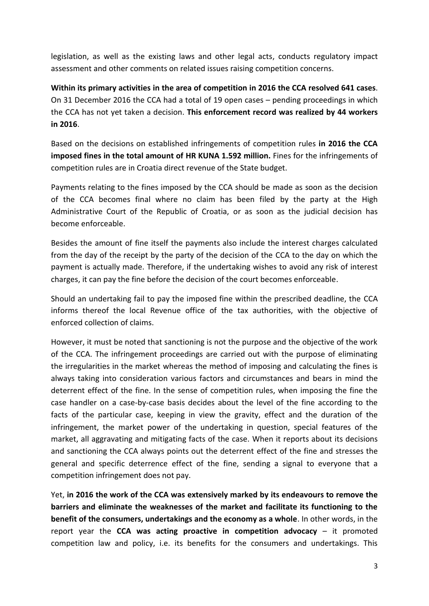legislation, as well as the existing laws and other legal acts, conducts regulatory impact assessment and other comments on related issues raising competition concerns.

**Within its primary activities in the area of competition in 2016 the CCA resolved 641 cases**. On 31 December 2016 the CCA had a total of 19 open cases – pending proceedings in which the CCA has not yet taken a decision. **This enforcement record was realized by 44 workers in 2016**.

Based on the decisions on established infringements of competition rules **in 2016 the CCA imposed fines in the total amount of HR KUNA 1.592 million.** Fines for the infringements of competition rules are in Croatia direct revenue of the State budget.

Payments relating to the fines imposed by the CCA should be made as soon as the decision of the CCA becomes final where no claim has been filed by the party at the High Administrative Court of the Republic of Croatia, or as soon as the judicial decision has become enforceable.

Besides the amount of fine itself the payments also include the interest charges calculated from the day of the receipt by the party of the decision of the CCA to the day on which the payment is actually made. Therefore, if the undertaking wishes to avoid any risk of interest charges, it can pay the fine before the decision of the court becomes enforceable.

Should an undertaking fail to pay the imposed fine within the prescribed deadline, the CCA informs thereof the local Revenue office of the tax authorities, with the objective of enforced collection of claims.

However, it must be noted that sanctioning is not the purpose and the objective of the work of the CCA. The infringement proceedings are carried out with the purpose of eliminating the irregularities in the market whereas the method of imposing and calculating the fines is always taking into consideration various factors and circumstances and bears in mind the deterrent effect of the fine. In the sense of competition rules, when imposing the fine the case handler on a case-by-case basis decides about the level of the fine according to the facts of the particular case, keeping in view the gravity, effect and the duration of the infringement, the market power of the undertaking in question, special features of the market, all aggravating and mitigating facts of the case. When it reports about its decisions and sanctioning the CCA always points out the deterrent effect of the fine and stresses the general and specific deterrence effect of the fine, sending a signal to everyone that a competition infringement does not pay.

Yet, **in 2016 the work of the CCA was extensively marked by its endeavours to remove the barriers and eliminate the weaknesses of the market and facilitate its functioning to the benefit of the consumers, undertakings and the economy as a whole**. In other words, in the report year the **CCA was acting proactive in competition advocacy** – it promoted competition law and policy, i.e. its benefits for the consumers and undertakings. This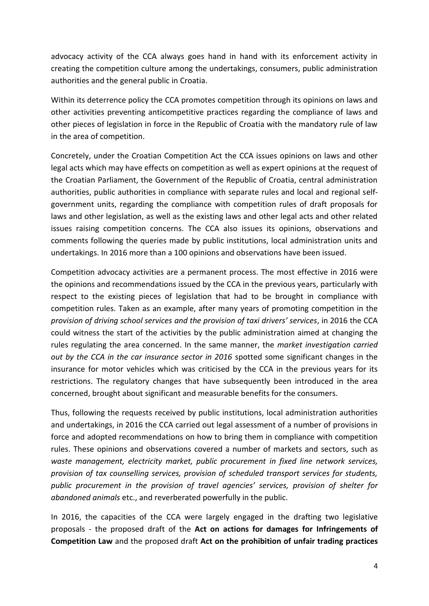advocacy activity of the CCA always goes hand in hand with its enforcement activity in creating the competition culture among the undertakings, consumers, public administration authorities and the general public in Croatia.

Within its deterrence policy the CCA promotes competition through its opinions on laws and other activities preventing anticompetitive practices regarding the compliance of laws and other pieces of legislation in force in the Republic of Croatia with the mandatory rule of law in the area of competition.

Concretely, under the Croatian Competition Act the CCA issues opinions on laws and other legal acts which may have effects on competition as well as expert opinions at the request of the Croatian Parliament, the Government of the Republic of Croatia, central administration authorities, public authorities in compliance with separate rules and local and regional selfgovernment units, regarding the compliance with competition rules of draft proposals for laws and other legislation, as well as the existing laws and other legal acts and other related issues raising competition concerns. The CCA also issues its opinions, observations and comments following the queries made by public institutions, local administration units and undertakings. In 2016 more than a 100 opinions and observations have been issued.

Competition advocacy activities are a permanent process. The most effective in 2016 were the opinions and recommendations issued by the CCA in the previous years, particularly with respect to the existing pieces of legislation that had to be brought in compliance with competition rules. Taken as an example, after many years of promoting competition in the *provision of driving school services and the provision of taxi drivers' services*, in 2016 the CCA could witness the start of the activities by the public administration aimed at changing the rules regulating the area concerned. In the same manner, the *market investigation carried out by the CCA in the car insurance sector in 2016* spotted some significant changes in the insurance for motor vehicles which was criticised by the CCA in the previous years for its restrictions. The regulatory changes that have subsequently been introduced in the area concerned, brought about significant and measurable benefits for the consumers.

Thus, following the requests received by public institutions, local administration authorities and undertakings, in 2016 the CCA carried out legal assessment of a number of provisions in force and adopted recommendations on how to bring them in compliance with competition rules. These opinions and observations covered a number of markets and sectors, such as *waste management, electricity market, public procurement in fixed line network services, provision of tax counselling services, provision of scheduled transport services for students, public procurement in the provision of travel agencies' services, provision of shelter for abandoned animals* etc., and reverberated powerfully in the public.

In 2016, the capacities of the CCA were largely engaged in the drafting two legislative proposals - the proposed draft of the **Act on actions for damages for Infringements of Competition Law** and the proposed draft **Act on the prohibition of unfair trading practices**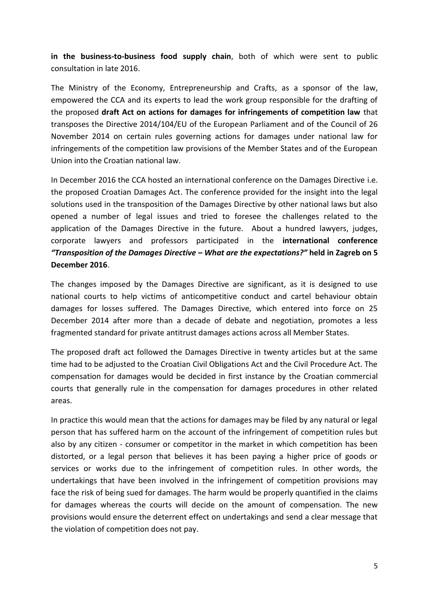**in the business-to-business food supply chain**, both of which were sent to public consultation in late 2016.

The Ministry of the Economy, Entrepreneurship and Crafts, as a sponsor of the law, empowered the CCA and its experts to lead the work group responsible for the drafting of the proposed **draft Act on actions for damages for infringements of competition law** that transposes the Directive 2014/104/EU of the European Parliament and of the Council of 26 November 2014 on certain rules governing actions for damages under national law for infringements of the competition law provisions of the Member States and of the European Union into the Croatian national law.

In December 2016 the CCA hosted an international conference on the Damages Directive i.e. the proposed Croatian Damages Act. The conference provided for the insight into the legal solutions used in the transposition of the Damages Directive by other national laws but also opened a number of legal issues and tried to foresee the challenges related to the application of the Damages Directive in the future. About a hundred lawyers, judges, corporate lawyers and professors participated in the **international conference**  *"Transposition of the Damages Directive – What are the expectations?"* **held in Zagreb on 5 December 2016**.

The changes imposed by the Damages Directive are significant, as it is designed to use national courts to help victims of anticompetitive conduct and cartel behaviour obtain damages for losses suffered. The Damages Directive, which entered into force on 25 December 2014 after more than a decade of debate and negotiation, promotes a less fragmented standard for private antitrust damages actions across all Member States.

The proposed draft act followed the Damages Directive in twenty articles but at the same time had to be adjusted to the Croatian Civil Obligations Act and the Civil Procedure Act. The compensation for damages would be decided in first instance by the Croatian commercial courts that generally rule in the compensation for damages procedures in other related areas.

In practice this would mean that the actions for damages may be filed by any natural or legal person that has suffered harm on the account of the infringement of competition rules but also by any citizen - consumer or competitor in the market in which competition has been distorted, or a legal person that believes it has been paying a higher price of goods or services or works due to the infringement of competition rules. In other words, the undertakings that have been involved in the infringement of competition provisions may face the risk of being sued for damages. The harm would be properly quantified in the claims for damages whereas the courts will decide on the amount of compensation. The new provisions would ensure the deterrent effect on undertakings and send a clear message that the violation of competition does not pay.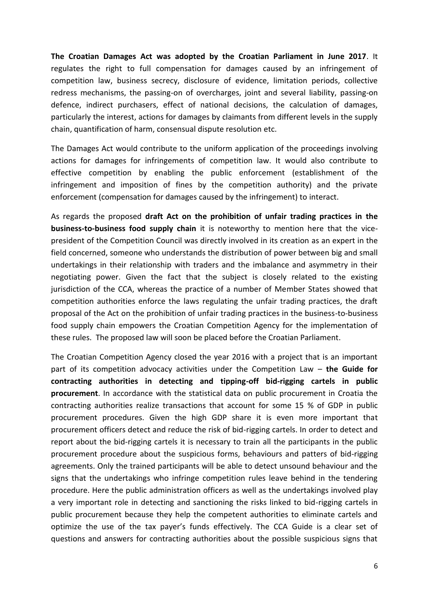**The Croatian Damages Act was adopted by the Croatian Parliament in June 2017**. It regulates the right to full compensation for damages caused by an infringement of competition law, business secrecy, disclosure of evidence, limitation periods, collective redress mechanisms, the passing-on of overcharges, joint and several liability, passing-on defence, indirect purchasers, effect of national decisions, the calculation of damages, particularly the interest, actions for damages by claimants from different levels in the supply chain, quantification of harm, consensual dispute resolution etc.

The Damages Act would contribute to the uniform application of the proceedings involving actions for damages for infringements of competition law. It would also contribute to effective competition by enabling the public enforcement (establishment of the infringement and imposition of fines by the competition authority) and the private enforcement (compensation for damages caused by the infringement) to interact.

As regards the proposed **draft Act on the prohibition of unfair trading practices in the business-to-business food supply chain** it is noteworthy to mention here that the vicepresident of the Competition Council was directly involved in its creation as an expert in the field concerned, someone who understands the distribution of power between big and small undertakings in their relationship with traders and the imbalance and asymmetry in their negotiating power. Given the fact that the subject is closely related to the existing jurisdiction of the CCA, whereas the practice of a number of Member States showed that competition authorities enforce the laws regulating the unfair trading practices, the draft proposal of the Act on the prohibition of unfair trading practices in the business-to-business food supply chain empowers the Croatian Competition Agency for the implementation of these rules. The proposed law will soon be placed before the Croatian Parliament.

The Croatian Competition Agency closed the year 2016 with a project that is an important part of its competition advocacy activities under the Competition Law – **the Guide for contracting authorities in detecting and tipping-off bid-rigging cartels in public procurement**. In accordance with the statistical data on public procurement in Croatia the contracting authorities realize transactions that account for some 15 % of GDP in public procurement procedures. Given the high GDP share it is even more important that procurement officers detect and reduce the risk of bid-rigging cartels. In order to detect and report about the bid-rigging cartels it is necessary to train all the participants in the public procurement procedure about the suspicious forms, behaviours and patters of bid-rigging agreements. Only the trained participants will be able to detect unsound behaviour and the signs that the undertakings who infringe competition rules leave behind in the tendering procedure. Here the public administration officers as well as the undertakings involved play a very important role in detecting and sanctioning the risks linked to bid-rigging cartels in public procurement because they help the competent authorities to eliminate cartels and optimize the use of the tax payer's funds effectively. The CCA Guide is a clear set of questions and answers for contracting authorities about the possible suspicious signs that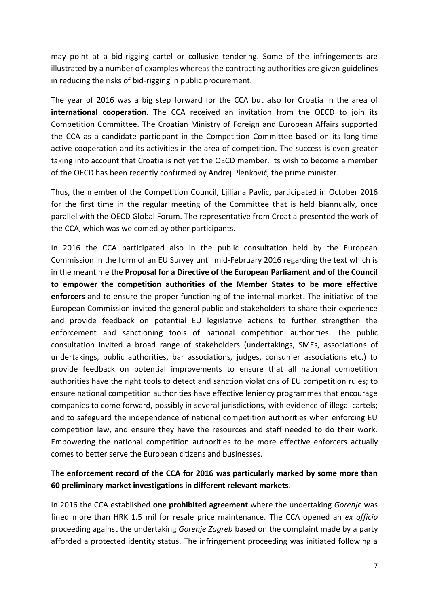may point at a bid-rigging cartel or collusive tendering. Some of the infringements are illustrated by a number of examples whereas the contracting authorities are given guidelines in reducing the risks of bid-rigging in public procurement.

The year of 2016 was a big step forward for the CCA but also for Croatia in the area of **international cooperation**. The CCA received an invitation from the OECD to join its Competition Committee. The Croatian Ministry of Foreign and European Affairs supported the CCA as a candidate participant in the Competition Committee based on its long-time active cooperation and its activities in the area of competition. The success is even greater taking into account that Croatia is not yet the OECD member. Its wish to become a member of the OECD has been recently confirmed by Andrej Plenković, the prime minister.

Thus, the member of the Competition Council, Ljiljana Pavlic, participated in October 2016 for the first time in the regular meeting of the Committee that is held biannually, once parallel with the OECD Global Forum. The representative from Croatia presented the work of the CCA, which was welcomed by other participants.

In 2016 the CCA participated also in the public consultation held by the European Commission in the form of an EU Survey until mid-February 2016 regarding the text which is in the meantime the **Proposal for a Directive of the European Parliament and of the Council to empower the competition authorities of the Member States to be more effective enforcers** and to ensure the proper functioning of the internal market. The initiative of the European Commission invited the general public and stakeholders to share their experience and provide feedback on potential EU legislative actions to further strengthen the enforcement and sanctioning tools of national competition authorities. The public consultation invited a broad range of stakeholders (undertakings, SMEs, associations of undertakings, public authorities, bar associations, judges, consumer associations etc.) to provide feedback on potential improvements to ensure that all national competition authorities have the right tools to detect and sanction violations of EU competition rules; to ensure national competition authorities have effective leniency programmes that encourage companies to come forward, possibly in several jurisdictions, with evidence of illegal cartels; and to safeguard the independence of national competition authorities when enforcing EU competition law, and ensure they have the resources and staff needed to do their work. Empowering the national competition authorities to be more effective enforcers actually comes to better serve the European citizens and businesses.

## **The enforcement record of the CCA for 2016 was particularly marked by some more than 60 preliminary market investigations in different relevant markets**.

In 2016 the CCA established **one prohibited agreement** where the undertaking *Gorenje* was fined more than HRK 1.5 mil for resale price maintenance. The CCA opened an *ex officio* proceeding against the undertaking *Gorenje Zagreb* based on the complaint made by a party afforded a protected identity status. The infringement proceeding was initiated following a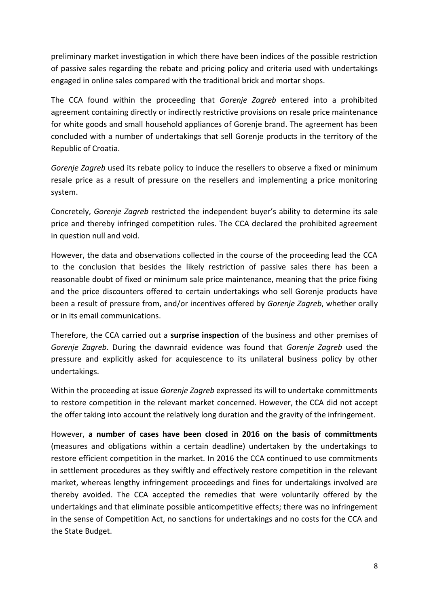preliminary market investigation in which there have been indices of the possible restriction of passive sales regarding the rebate and pricing policy and criteria used with undertakings engaged in online sales compared with the traditional brick and mortar shops.

The CCA found within the proceeding that *Gorenje Zagreb* entered into a prohibited agreement containing directly or indirectly restrictive provisions on resale price maintenance for white goods and small household appliances of Gorenje brand. The agreement has been concluded with a number of undertakings that sell Gorenje products in the territory of the Republic of Croatia.

*Gorenje Zagreb* used its rebate policy to induce the resellers to observe a fixed or minimum resale price as a result of pressure on the resellers and implementing a price monitoring system.

Concretely, *Gorenje Zagreb* restricted the independent buyer's ability to determine its sale price and thereby infringed competition rules. The CCA declared the prohibited agreement in question null and void.

However, the data and observations collected in the course of the proceeding lead the CCA to the conclusion that besides the likely restriction of passive sales there has been a reasonable doubt of fixed or minimum sale price maintenance, meaning that the price fixing and the price discounters offered to certain undertakings who sell Gorenje products have been a result of pressure from, and/or incentives offered by *Gorenje Zagreb*, whether orally or in its email communications.

Therefore, the CCA carried out a **surprise inspection** of the business and other premises of *Gorenje Zagreb*. During the dawnraid evidence was found that *Gorenje Zagreb* used the pressure and explicitly asked for acquiescence to its unilateral business policy by other undertakings.

Within the proceeding at issue *Gorenje Zagreb* expressed its will to undertake committments to restore competition in the relevant market concerned. However, the CCA did not accept the offer taking into account the relatively long duration and the gravity of the infringement.

However, **a number of cases have been closed in 2016 on the basis of committments** (measures and obligations within a certain deadline) undertaken by the undertakings to restore efficient competition in the market. In 2016 the CCA continued to use commitments in settlement procedures as they swiftly and effectively restore competition in the relevant market, whereas lengthy infringement proceedings and fines for undertakings involved are thereby avoided. The CCA accepted the remedies that were voluntarily offered by the undertakings and that eliminate possible anticompetitive effects; there was no infringement in the sense of Competition Act, no sanctions for undertakings and no costs for the CCA and the State Budget.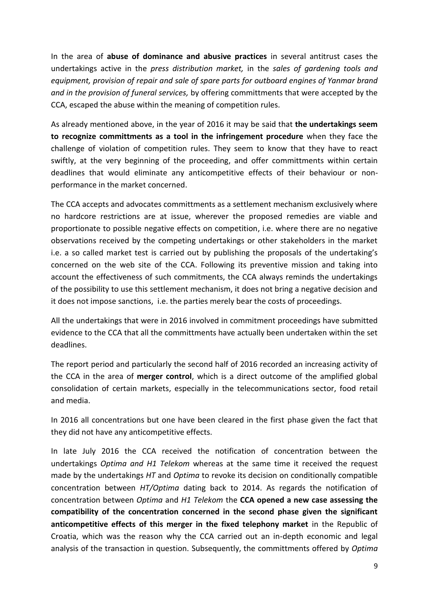In the area of **abuse of dominance and abusive practices** in several antitrust cases the undertakings active in the *press distribution market,* in the *sales of gardening tools and equipment, provision of repair and sale of spare parts for outboard engines of Yanmar brand and in the provision of funeral services,* by offering committments that were accepted by the CCA, escaped the abuse within the meaning of competition rules.

As already mentioned above, in the year of 2016 it may be said that **the undertakings seem to recognize committments as a tool in the infringement procedure** when they face the challenge of violation of competition rules. They seem to know that they have to react swiftly, at the very beginning of the proceeding, and offer committments within certain deadlines that would eliminate any anticompetitive effects of their behaviour or nonperformance in the market concerned.

The CCA accepts and advocates committments as a settlement mechanism exclusively where no hardcore restrictions are at issue, wherever the proposed remedies are viable and proportionate to possible negative effects on competition, i.e. where there are no negative observations received by the competing undertakings or other stakeholders in the market i.e. a so called market test is carried out by publishing the proposals of the undertaking's concerned on the web site of the CCA. Following its preventive mission and taking into account the effectiveness of such commitments, the CCA always reminds the undertakings of the possibility to use this settlement mechanism, it does not bring a negative decision and it does not impose sanctions, i.e. the parties merely bear the costs of proceedings.

All the undertakings that were in 2016 involved in commitment proceedings have submitted evidence to the CCA that all the committments have actually been undertaken within the set deadlines.

The report period and particularly the second half of 2016 recorded an increasing activity of the CCA in the area of **merger control**, which is a direct outcome of the amplified global consolidation of certain markets, especially in the telecommunications sector, food retail and media.

In 2016 all concentrations but one have been cleared in the first phase given the fact that they did not have any anticompetitive effects.

In late July 2016 the CCA received the notification of concentration between the undertakings *Optima and H1 Telekom* whereas at the same time it received the request made by the undertakings *HT* and *Optima* to revoke its decision on conditionally compatible concentration between *HT/Optima* dating back to 2014. As regards the notification of concentration between *Optima* and *H1 Telekom* the **CCA opened a new case assessing the compatibility of the concentration concerned in the second phase given the significant anticompetitive effects of this merger in the fixed telephony market** in the Republic of Croatia, which was the reason why the CCA carried out an in-depth economic and legal analysis of the transaction in question. Subsequently, the committments offered by *Optima*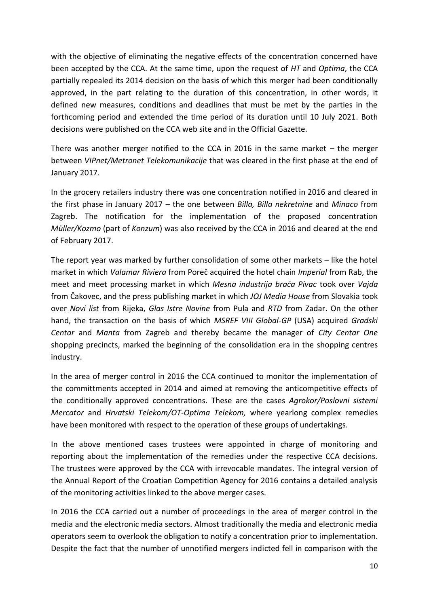with the objective of eliminating the negative effects of the concentration concerned have been accepted by the CCA. At the same time, upon the request of *HT* and *Optima*, the CCA partially repealed its 2014 decision on the basis of which this merger had been conditionally approved, in the part relating to the duration of this concentration, in other words, it defined new measures, conditions and deadlines that must be met by the parties in the forthcoming period and extended the time period of its duration until 10 July 2021. Both decisions were published on the CCA web site and in the Official Gazette.

There was another merger notified to the CCA in 2016 in the same market – the merger between *VIPnet/Metronet Telekomunikacije* that was cleared in the first phase at the end of January 2017.

In the grocery retailers industry there was one concentration notified in 2016 and cleared in the first phase in January 2017 – the one between *Billa, Billa nekretnine* and *Minaco* from Zagreb. The notification for the implementation of the proposed concentration *Müller/Kozmo* (part of *Konzum*) was also received by the CCA in 2016 and cleared at the end of February 2017.

The report year was marked by further consolidation of some other markets – like the hotel market in which *Valamar Riviera* from Poreč acquired the hotel chain *Imperial* from Rab, the meet and meet processing market in which *Mesna industrija braća Pivac* took over *Vajda*  from Čakovec, and the press publishing market in which *JOJ Media House* from Slovakia took over *Novi list* from Rijeka, *Glas Istre Novine* from Pula and *RTD* from Zadar. On the other hand, the transaction on the basis of which *MSREF VIII Global-GP* (USA) acquired *Gradski Centar* and *Manta* from Zagreb and thereby became the manager of *City Centar One* shopping precincts, marked the beginning of the consolidation era in the shopping centres industry.

In the area of merger control in 2016 the CCA continued to monitor the implementation of the committments accepted in 2014 and aimed at removing the anticompetitive effects of the conditionally approved concentrations. These are the cases *Agrokor/Poslovni sistemi Mercator* and *Hrvatski Telekom/OT-Optima Telekom,* where yearlong complex remedies have been monitored with respect to the operation of these groups of undertakings.

In the above mentioned cases trustees were appointed in charge of monitoring and reporting about the implementation of the remedies under the respective CCA decisions. The trustees were approved by the CCA with irrevocable mandates. The integral version of the Annual Report of the Croatian Competition Agency for 2016 contains a detailed analysis of the monitoring activities linked to the above merger cases.

In 2016 the CCA carried out a number of proceedings in the area of merger control in the media and the electronic media sectors. Almost traditionally the media and electronic media operators seem to overlook the obligation to notify a concentration prior to implementation. Despite the fact that the number of unnotified mergers indicted fell in comparison with the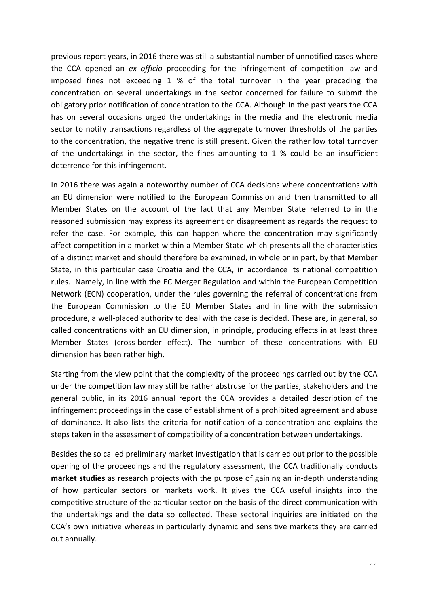previous report years, in 2016 there was still a substantial number of unnotified cases where the CCA opened an *ex officio* proceeding for the infringement of competition law and imposed fines not exceeding 1 % of the total turnover in the year preceding the concentration on several undertakings in the sector concerned for failure to submit the obligatory prior notification of concentration to the CCA. Although in the past years the CCA has on several occasions urged the undertakings in the media and the electronic media sector to notify transactions regardless of the aggregate turnover thresholds of the parties to the concentration, the negative trend is still present. Given the rather low total turnover of the undertakings in the sector, the fines amounting to 1 % could be an insufficient deterrence for this infringement.

In 2016 there was again a noteworthy number of CCA decisions where concentrations with an EU dimension were notified to the European Commission and then transmitted to all Member States on the account of the fact that any Member State referred to in the reasoned submission may express its agreement or disagreement as regards the request to refer the case. For example, this can happen where the concentration may significantly affect competition in a market within a Member State which presents all the characteristics of a distinct market and should therefore be examined, in whole or in part, by that Member State, in this particular case Croatia and the CCA, in accordance its national competition rules. Namely, in line with the EC Merger Regulation and within the European Competition Network (ECN) cooperation, under the rules governing the referral of concentrations from the European Commission to the EU Member States and in line with the submission procedure, a well-placed authority to deal with the case is decided. These are, in general, so called concentrations with an EU dimension, in principle, producing effects in at least three Member States (cross-border effect). The number of these concentrations with EU dimension has been rather high.

Starting from the view point that the complexity of the proceedings carried out by the CCA under the competition law may still be rather abstruse for the parties, stakeholders and the general public, in its 2016 annual report the CCA provides a detailed description of the infringement proceedings in the case of establishment of a prohibited agreement and abuse of dominance. It also lists the criteria for notification of a concentration and explains the steps taken in the assessment of compatibility of a concentration between undertakings.

Besides the so called preliminary market investigation that is carried out prior to the possible opening of the proceedings and the regulatory assessment, the CCA traditionally conducts **market studies** as research projects with the purpose of gaining an in-depth understanding of how particular sectors or markets work. It gives the CCA useful insights into the competitive structure of the particular sector on the basis of the direct communication with the undertakings and the data so collected. These sectoral inquiries are initiated on the CCA's own initiative whereas in particularly dynamic and sensitive markets they are carried out annually.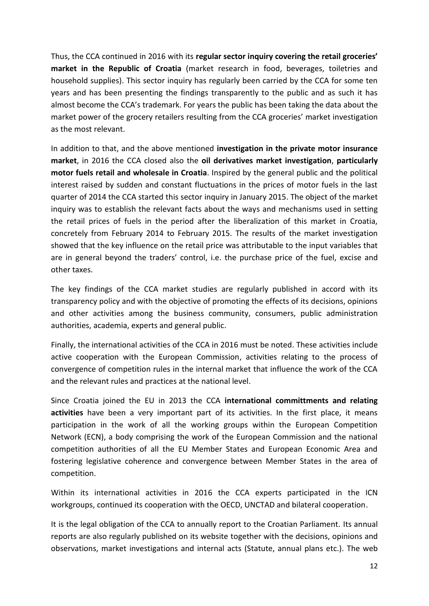Thus, the CCA continued in 2016 with its **regular sector inquiry covering the retail groceries' market in the Republic of Croatia** (market research in food, beverages, toiletries and household supplies). This sector inquiry has regularly been carried by the CCA for some ten years and has been presenting the findings transparently to the public and as such it has almost become the CCA's trademark. For years the public has been taking the data about the market power of the grocery retailers resulting from the CCA groceries' market investigation as the most relevant.

In addition to that, and the above mentioned **investigation in the private motor insurance market**, in 2016 the CCA closed also the **oil derivatives market investigation**, **particularly motor fuels retail and wholesale in Croatia**. Inspired by the general public and the political interest raised by sudden and constant fluctuations in the prices of motor fuels in the last quarter of 2014 the CCA started this sector inquiry in January 2015. The object of the market inquiry was to establish the relevant facts about the ways and mechanisms used in setting the retail prices of fuels in the period after the liberalization of this market in Croatia, concretely from February 2014 to February 2015. The results of the market investigation showed that the key influence on the retail price was attributable to the input variables that are in general beyond the traders' control, i.e. the purchase price of the fuel, excise and other taxes.

The key findings of the CCA market studies are regularly published in accord with its transparency policy and with the objective of promoting the effects of its decisions, opinions and other activities among the business community, consumers, public administration authorities, academia, experts and general public.

Finally, the international activities of the CCA in 2016 must be noted. These activities include active cooperation with the European Commission, activities relating to the process of convergence of competition rules in the internal market that influence the work of the CCA and the relevant rules and practices at the national level.

Since Croatia joined the EU in 2013 the CCA **international committments and relating activities** have been a very important part of its activities. In the first place, it means participation in the work of all the working groups within the European Competition Network (ECN), a body comprising the work of the European Commission and the national competition authorities of all the EU Member States and European Economic Area and fostering legislative coherence and convergence between Member States in the area of competition.

Within its international activities in 2016 the CCA experts participated in the ICN workgroups, continued its cooperation with the OECD, UNCTAD and bilateral cooperation.

It is the legal obligation of the CCA to annually report to the Croatian Parliament. Its annual reports are also regularly published on its website together with the decisions, opinions and observations, market investigations and internal acts (Statute, annual plans etc.). The web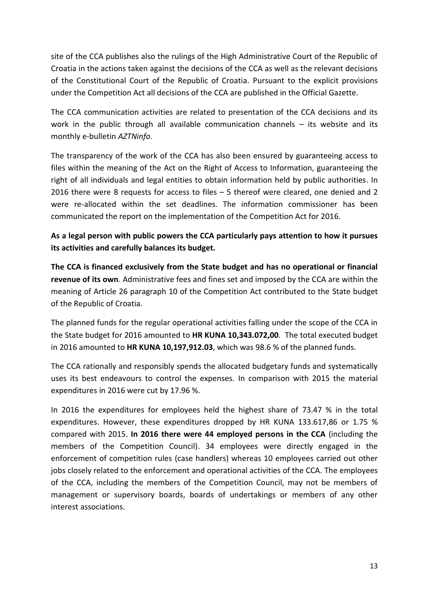site of the CCA publishes also the rulings of the High Administrative Court of the Republic of Croatia in the actions taken against the decisions of the CCA as well as the relevant decisions of the Constitutional Court of the Republic of Croatia. Pursuant to the explicit provisions under the Competition Act all decisions of the CCA are published in the Official Gazette.

The CCA communication activities are related to presentation of the CCA decisions and its work in the public through all available communication channels – its website and its monthly e-bulletin *AZTNinfo*.

The transparency of the work of the CCA has also been ensured by guaranteeing access to files within the meaning of the Act on the Right of Access to Information, guaranteeing the right of all individuals and legal entities to obtain information held by public authorities. In 2016 there were 8 requests for access to files – 5 thereof were cleared, one denied and 2 were re-allocated within the set deadlines. The information commissioner has been communicated the report on the implementation of the Competition Act for 2016.

**As a legal person with public powers the CCA particularly pays attention to how it pursues its activities and carefully balances its budget.** 

**The CCA is financed exclusively from the State budget and has no operational or financial revenue of its own**. Administrative fees and fines set and imposed by the CCA are within the meaning of Article 26 paragraph 10 of the Competition Act contributed to the State budget of the Republic of Croatia.

The planned funds for the regular operational activities falling under the scope of the CCA in the State budget for 2016 amounted to **HR KUNA 10,343.072,00**. The total executed budget in 2016 amounted to **HR KUNA 10,197,912.03**, which was 98.6 % of the planned funds.

The CCA rationally and responsibly spends the allocated budgetary funds and systematically uses its best endeavours to control the expenses. In comparison with 2015 the material expenditures in 2016 were cut by 17.96 %.

In 2016 the expenditures for employees held the highest share of 73.47 % in the total expenditures. However, these expenditures dropped by HR KUNA 133.617,86 or 1.75 % compared with 2015. **In 2016 there were 44 employed persons in the CCA** (including the members of the Competition Council). 34 employees were directly engaged in the enforcement of competition rules (case handlers) whereas 10 employees carried out other jobs closely related to the enforcement and operational activities of the CCA. The employees of the CCA, including the members of the Competition Council, may not be members of management or supervisory boards, boards of undertakings or members of any other interest associations.